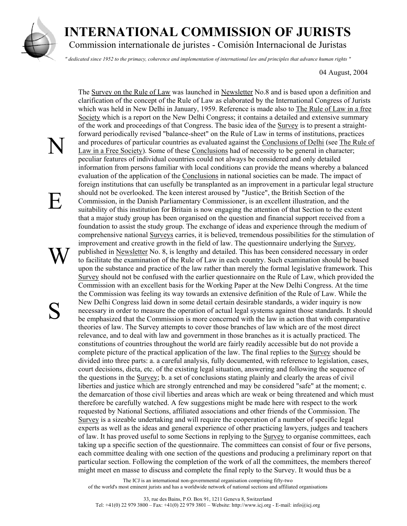

E

S

## **INTERNATIONAL COMMISSION OF JURISTS**

Commission internationale de juristes - Comisión Internacional de Juristas

*" dedicated since 1952 to the primacy, coherence and implementation of international law and principles that advance human rights "* 

04 August, 2004

N W The Survey on the Rule of Law was launched in Newsletter No.8 and is based upon a definition and clarification of the concept of the Rule of Law as elaborated by the International Congress of Jurists which was held in New Delhi in January, 1959. Reference is made also to The Rule of Law in a free Society which is a report on the New Delhi Congress; it contains a detailed and extensive summary of the work and proceedings of that Congress. The basic idea of the Survey is to present a straightforward periodically revised "balance-sheet" on the Rule of Law in terms of institutions, practices and procedures of particular countries as evaluated against the Conclusions of Delhi (see The Rule of Law in a Free Society). Some of these Conclusions had of necessity to be general in character; peculiar features of individual countries could not always be considered and only detailed information from persons familiar with local conditions can provide the means whereby a balanced evaluation of the application of the Conclusions in national societies can be made. The impact of foreign institutions that can usefully be transplanted as an improvement in a particular legal structure should not be overlooked. The keen interest aroused by "Justice", the British Section of the Commission, in the Danish Parliamentary Commissioner, is an excellent illustration, and the suitability of this institution for Britain is now engaging the attention of that Section to the extent that a major study group has been organised on the question and financial support received from a foundation to assist the study group. The exchange of ideas and experience through the medium of comprehensive national Surveys carries, it is believed, tremendous possibilities for the stimulation of improvement and creative growth in the field of law. The questionnaire underlying the Survey, published in Newsletter No. 8, is lengthy and detailed. This has been considered necessary in order to facilitate the examination of the Rule of Law in each country. Such examination should be based upon the substance and practice of the law rather than merely the formal legislative framework. This Survey should not be confused with the earlier questionnaire on the Rule of Law, which provided the Commission with an excellent basis for the Working Paper at the New Delhi Congress. At the time the Commission was feeling its way towards an extensive definition of the Rule of Law. While the New Delhi Congress laid down in some detail certain desirable standards, a wider inquiry is now necessary in order to measure the operation of actual legal systems against those standards. It should be emphasized that the Commission is more concerned with the law in action that with comparative theories of law. The Survey attempts to cover those branches of law which are of the most direct relevance, and to deal with law and government in those branches as it is actually practiced. The constitutions of countries throughout the world are fairly readily accessible but do not provide a complete picture of the practical application of the law. The final replies to the Survey should be divided into three parts: a. a careful analysis, fully documented, with reference to legislation, cases, court decisions, dicta, etc. of the existing legal situation, answering and following the sequence of the questions in the Survey; b. a set of conclusions stating plainly and clearly the areas of civil liberties and justice which are strongly entrenched and may be considered "safe" at the moment; c. the demarcation of those civil liberties and areas which are weak or being threatened and which must therefore be carefully watched. A few suggestions might be made here with respect to the work requested by National Sections, affiliated associations and other friends of the Commission. The Survey is a sizeable undertaking and will require the cooperation of a number of specific legal experts as well as the ideas and general experience of other practicing lawyers, judges and teachers of law. It has proved useful to some Sections in replying to the Survey to organise committees, each taking up a specific section of the questionnaire. The committees can consist of four or five persons, each committee dealing with one section of the questions and producing a preliminary report on that particular section. Following the completion of the work of all the committees, the members thereof might meet en masse to discuss and complete the final reply to the Survey. It would thus be a

> The ICJ is an international non-governmental organisation comprising fifty-two of the world's most eminent jurists and has a worldwide network of national sections and affiliated organisations